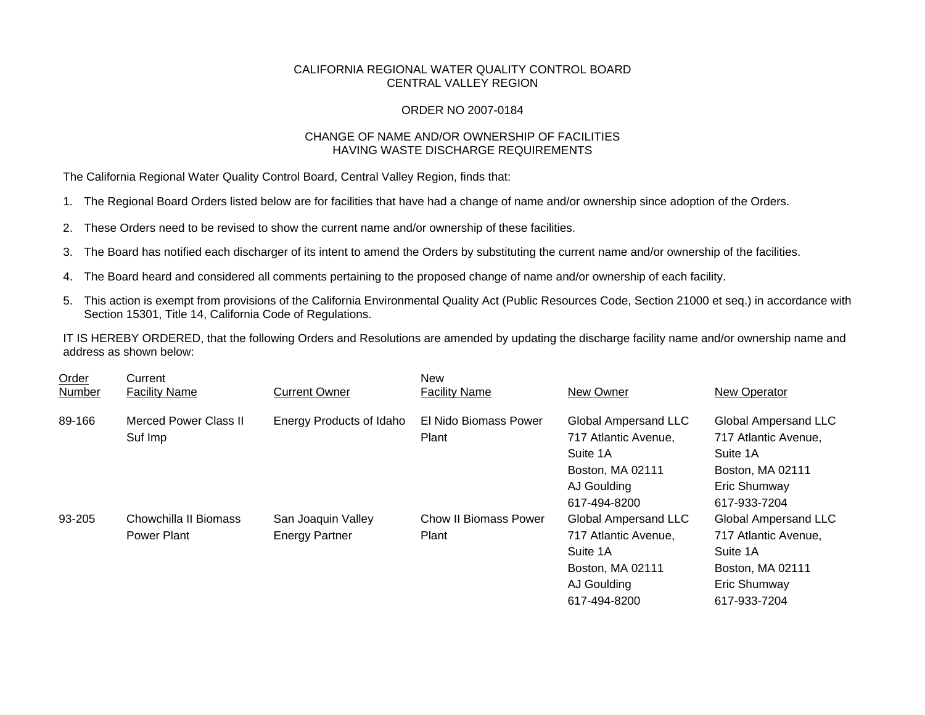## CALIFORNIA REGIONAL WATER QUALITY CONTROL BOARD CENTRAL VALLEY REGION

## ORDER NO 2007-0184

## CHANGE OF NAME AND/OR OWNERSHIP OF FACILITIES HAVING WASTE DISCHARGE REQUIREMENTS

The California Regional Water Quality Control Board, Central Valley Region, finds that:

- 1. The Regional Board Orders listed below are for facilities that have had a change of name and/or ownership since adoption of the Orders.
- 2. These Orders need to be revised to show the current name and/or ownership of these facilities.
- 3. The Board has notified each discharger of its intent to amend the Orders by substituting the current name and/or ownership of the facilities.
- 4. The Board heard and considered all comments pertaining to the proposed change of name and/or ownership of each facility.
- 5. This action is exempt from provisions of the California Environmental Quality Act (Public Resources Code, Section 21000 et seq.) in accordance with Section 15301, Title 14, California Code of Regulations.

IT IS HEREBY ORDERED, that the following Orders and Resolutions are amended by updating the discharge facility name and/or ownership name and address as shown below:

| Order<br>Number | Current<br><b>Facility Name</b> | <b>Current Owner</b>     | <b>New</b><br><b>Facility Name</b> | New Owner                   | <b>New Operator</b>         |
|-----------------|---------------------------------|--------------------------|------------------------------------|-----------------------------|-----------------------------|
| 89-166          | Merced Power Class II           | Energy Products of Idaho | El Nido Biomass Power              | Global Ampersand LLC        | Global Ampersand LLC        |
|                 | Suf Imp                         |                          | Plant                              | 717 Atlantic Avenue,        | 717 Atlantic Avenue,        |
|                 |                                 |                          |                                    | Suite 1A                    | Suite 1A                    |
|                 |                                 |                          |                                    | Boston, MA 02111            | Boston, MA 02111            |
|                 |                                 |                          |                                    | AJ Goulding                 | Eric Shumway                |
|                 |                                 |                          |                                    | 617-494-8200                | 617-933-7204                |
| 93-205          | Chowchilla II Biomass           | San Joaquin Valley       | Chow II Biomass Power              | <b>Global Ampersand LLC</b> | <b>Global Ampersand LLC</b> |
|                 | Power Plant                     | <b>Energy Partner</b>    | Plant                              | 717 Atlantic Avenue,        | 717 Atlantic Avenue,        |
|                 |                                 |                          |                                    | Suite 1A                    | Suite 1A                    |
|                 |                                 |                          |                                    | Boston, MA 02111            | Boston, MA 02111            |
|                 |                                 |                          |                                    | AJ Goulding                 | Eric Shumway                |
|                 |                                 |                          |                                    | 617-494-8200                | 617-933-7204                |